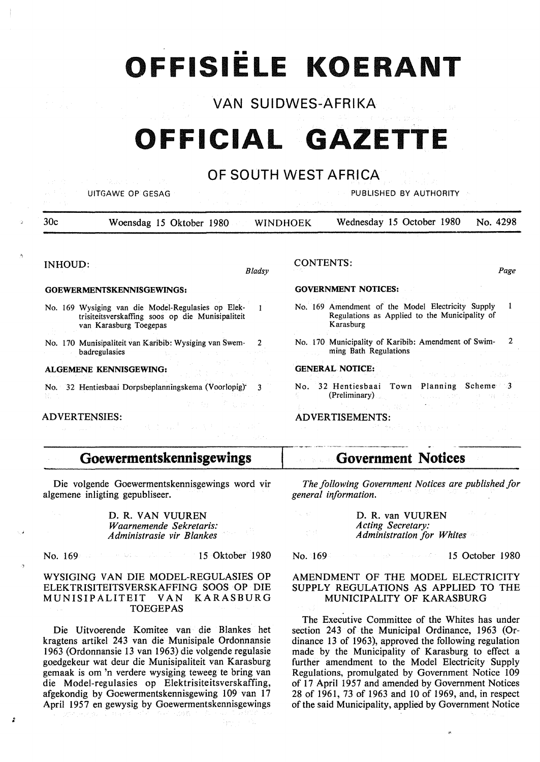# •• **OFFISIELE KOERANT**

# VAN SUIDWES-AFRIKA

# **OFFICIAL GAZETTE**

### OF SOUTH WEST AFRICA

UITGAWE OP GESAG PUBLISHED BY AUTHORITY

30c Woensdag 15 Oktober 1980 WINDHOEK Wednesday 15 October 1980 No. 4298

#### INHOUD:

#### **GOEWERMENTSKENNISGEWINGS:**

No. 169 Wysiging van die Model-Regulasies op Elek- $\mathbf{1}$ trisiteitsverskaffing soos op die Munisipaliteit van Karasburg Toegepas

No. 170 Munisipaliteit van Karibib: Wysiging van Swem- 2 badregulasies

#### **ALGEMENE KENNISGEWING:**

No. 32 Hentiesbaai Dorpsbeplanningskema (Voorlopig)· 3

#### ADVERTENSIES:

;

#### CONTENTS:

Page

#### **GOVERNMENT NOTICES:**

- No. 169 Amendment of the Model Electricity Supply  $\mathbf{1}$ Regulations as Applied to the Municipality of **Karasburg**
- No. 170 Municipality of Karibib: Amendment of Swim- 2 ming Bath Regulations

#### **GENERAL NOTICE:**

No. 32 Hentiesbaai Town Planning Scheme 3 (Preliminary)

#### ADVERTISEMENTS:

### **Goewermentskennisgewings**

Die volgende Goewermentskennisgewings word vir algemene inligting gepubliseer.

> D.R. VAN VUUREN *Waarnemende Sekretaris: Administrasie vir Blankes*

15 Oktober 1980 No. 169  $-30 - 302$ 

#### WYSIGING VAN DIE MODEL-REGULASIES OP ELEKTRISITEITSVERSKAFFING SOOS OP DIE MUNISIPALITEIT VAN KARASBURG TOEGEPAS

Die Uitvoerende Komitee van die Blankes het kragtens artikel 243 van die Munisipale Ordonnansie 1963 (Ordonnansie 13 van 1963) die volgende regulasie goedgekeur wat deur die Munisipaliteit van Karasburg gemaak is om 'n verdere wysiging teweeg te bring van die Model-regulasies op Elektrisiteitsverskaffing, afgekondig by Goewermentskennisgewing 109 van 17 April 1957 en gewysig by Goewermentskennisgewings

---- -------------- **Government Notices** 

*The following Government Notices are published for general information.* 

> D.R. van VUUREN *Acting Secretary: Administration for Whites*

> > $\Delta\omega$  and  $\Delta\omega$

#### No. 169

#### 15 October 1980

#### AMENDMENT OF THE MODEL ELECTRICITY SUPPLY REGULATIONS AS APPLIED TO THE MUNICIPALITY OF KARASBURG

The Executive Committee of the Whites has under section 243 of the Municipal Ordinance, 1963 (Ordinance 13 of 1963), approved the following regulation made by the Municipality of Karasburg to effect a further amendment to the Model Electricity Supply Regulations, promulgated by Government Notice 109 of 17 April 1957 and amended by Government Notices 28 of 1961, 73 of 1963 and IO of 1969, and, in respect of the said Municipality, applied by Government Notice

*Bladsy*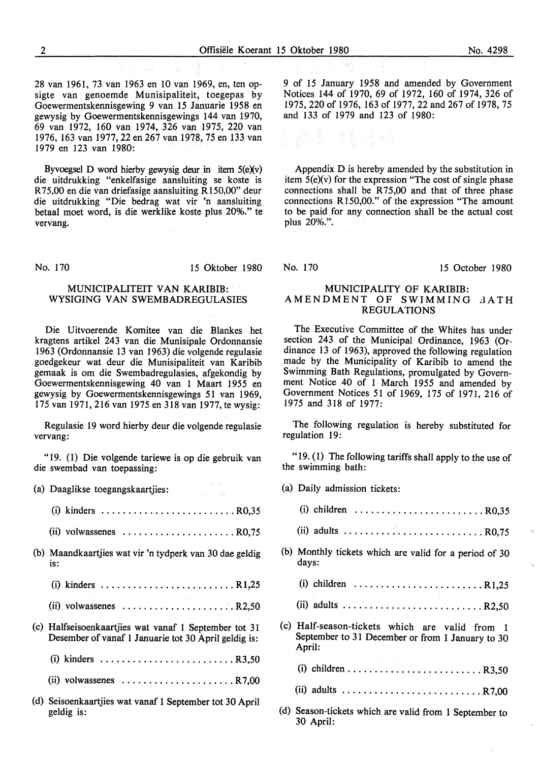28 van 1961, 73 van 1963 en 10 van 1969, en, ten opsigte van genoemde Munisipaliteit, toegepas by Goewermentskennisgewing 9 van 15 Januarie 1958 en gewysig by Goewermentskennisgewings 144 van 1970, 69 van 1972, 160 van 1974, 326 van 1975, 220 van 1976, 163 van 1977, 22 en 267 van 1978, 75 en 133 van 1979 en 123 van 1980:

Byvoegsel D word hierby gewysig deur in item  $5(e)(v)$ die uitdrukking "enkelfasige aansluiting se koste is R75,00 en die van driefasige aansluiting R150,00" deur die uitdrukking "Die bedrag wat vir 'n aansluiting betaal moet word, is die werklike koste plus 20%." te vervang.

No. 170 15 Oktober 1980

#### MUNICIPALITEIT **VAN KARIBIB: WYSIGING VAN SWEMBADREGULASIES**

Die Uitvoerende Komitee van die Blankes het kragtens artikel 243 van die Munisipale Ordonnansie 1963 (Ordonnansie 13 van 1963) die volgende regulasie goedgekeur wat deur die Munisipaliteit van Karibib gemaak is om die Swembadregulasies, afgekondig by Goewermentskennisgewing 40 van 1 Maart 1955 en gewysig by Goewermentskennisgewings 51 van 1969, 175 van 1971, 216 van 1975 en 318 van 1977, te wysig:

Regulasie 19 word hierby deur die volgende regulasie vervang:

"19. (1) Die volgende tariewe is op die gebruik van die swembad van toepassing:

| (a) Daaglikse toegangskaartjies:<br>$\sim$ and $\sim$ 544                                                     |
|---------------------------------------------------------------------------------------------------------------|
|                                                                                                               |
| (ii) volwassenes $\ldots$ ,       R0,75                                                                       |
| (b) Maandkaartjies wat vir 'n tydperk van 30 dae geldig<br>is:                                                |
|                                                                                                               |
| a sa kabup<br>(ii) volwassenes $\ldots \ldots \ldots \ldots \ldots \ldots \ldots$ R2,50                       |
| (c) Halfseisoenkaartjies wat vanaf 1 September tot 31<br>Desember of vanaf 1 Januarie tot 30 April geldig is: |
|                                                                                                               |
| (ii) volwassenes $\ldots \ldots \ldots \ldots \ldots \ldots \ldots \ldots$ R7,00                              |
| (d) Seisoenkaartjies wat vanaf 1 September tot 30 April<br>geldig is:                                         |

9 of 15 January 1958 and amended by Government Notices 144 of 1970, 69 of 1972, 160 of 1974, 326 of 1975, 220 of 1976, 163 of 1977, 22 and 267 of 1978, 75 and 133 of 1979 and 123 of 1980:

그 경찰 사람이

Appendix D is hereby amended by the substitution in item  $5(e)(v)$  for the expression "The cost of single phase connections shall be R75,00 and that of three phase connections R 150,00." of the expression "The amount to be paid for any connection shall be the actual cost plus 20%.".

No. 170 15 October 1980

#### **MUNICIPALITY OF KARIBIB: AMENDMENT** OF **SWIMMING** dATH **REGULATIONS**

The Executive Committee of the Whites has under section 243 of the Municipal Ordinance, 1963 (Ordinance 13 of 1963), approved the following regulation made by the Municipality of Karibib to amend the Swimming Bath Regulations, promulgated by Government Notice 40 of 1 March 1955 and amended by Government Notices 51 of 1969, 175 of 1971, 216 of 1975 and 318 of 1977:

The following regulation is hereby substituted for regulation 19:

"19.  $(1)$  The following tariffs shall apply to the use of the swimming bath:

|     | (a) Daily admission tickets:                                                                                                                                                                                                            |
|-----|-----------------------------------------------------------------------------------------------------------------------------------------------------------------------------------------------------------------------------------------|
|     | (i) children $\ldots \ldots \ldots \ldots \ldots \ldots \ldots \ldots \ldots$ R0,35                                                                                                                                                     |
|     |                                                                                                                                                                                                                                         |
|     | (b) Monthly tickets which are valid for a period of 30<br>days:                                                                                                                                                                         |
|     | (i) children $\ldots \ldots \ldots \ldots \ldots \ldots \ldots \ldots$ R1,25                                                                                                                                                            |
|     |                                                                                                                                                                                                                                         |
|     | (c) Half-season-tickets which are valid from 1<br>September to 31 December or from 1 January to 30<br>April:<br>$\mathcal{L}(\mathcal{A})$ and $\mathcal{L}(\mathcal{A})$ and $\mathcal{L}(\mathcal{A})$ and $\mathcal{L}(\mathcal{A})$ |
|     | and the control of the stage of the control of the                                                                                                                                                                                      |
|     |                                                                                                                                                                                                                                         |
| (d) | Season-tickets which are valid from 1 September to<br>30 April:                                                                                                                                                                         |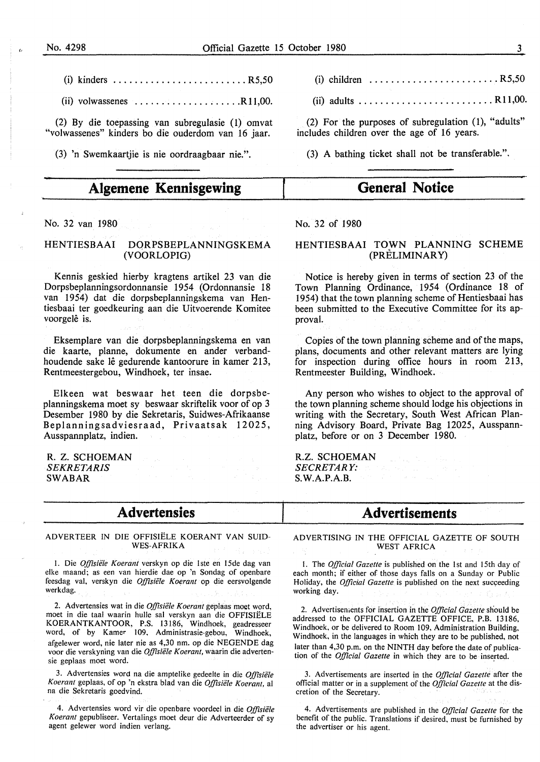- (i) kinders ......................... R5,50
- $(ii)$  volwassenes  $\ldots \ldots \ldots \ldots \ldots \ldots$  R11,00.

(2) By die toepassing van subregulasie (1) omvat "volwassenes" kinders bo die ouderdom van 16 jaar.

(3) 'n Swemkaartjie is nie oordraagbaar nie.".

# **Algemene Kennisgewing**

No. 32 van 1980

#### HENTIESBAAI DQRPSBEPLANNINGSKEMA (VOORLOPIG)

Kennis geskied hierby kragtens artikel 23 van die Dorpsbeplanningsordonnansie 1954 (Ordonnansie 18 van 1954) dat die dorpsbeplanningskema van Hentiesbaai ter goedkeuring aan die Uitvoerende Komitee voorgelê is.

Eksemplare van die dorpsbeplanningskema en van die kaarte, planne, dokumente en ander verbandhoudende sake lê gedurende kantoorure in kamer 213, Rentmeestergebou, Windhoek, ter insae.

Elkeen wat beswaar bet teen die dorpsbeplanningskema moet sy beswaar skriftelik voor of op 3 Desember 1980 by die Sekretaris, Suidwes-Afrikaanse Beplanningsadviesraad, Privaatsak 12025, Ausspannplatz, indien.

**R. Z. SCHOEMAN**  *SEKRETARIS*  **SWABAR** 

### **Advertensies**

#### ADVERTEER IN DIE OFFISIELE KOERANT VAN SUID-WES-AFRIKA

I. Die *Offisie1e Koerant* verskyn op die lste en 15de dag van elke maand; as een van hierdie dae op 'n Sondag of openbare feesdag val, verskyn die *Offisiifle Koerant* op die eersvolgende werkdag.

2. Advertensies wat in die *Offisiifle Koerant* geplaas moet word, moet in die taal waarin hulle sal verskyn aan die OFFISIELE **KOERANTKANTOOR, P.S.** 13186, Windhoek, geadresseer word, of by Kamer l09, Administrasie-gebou, Windhoek, afgelewer word, nie later nie as 4,30 nm. op die NEGENDE dag voor die verskyning van die Offisiële Koerant, waarin die advertensie geplaas moet word.

3. Advertensies word na die amptelike gedeelte in die *Offisiifle*  Koerant geplaas, of op 'n ekstra blad van die Offisiële Koerant, al na die Sekretaris goedvind.

4. Advertensies word vir die openbare voordeel in die Offisiële *Koerant* gepubliseer. Vertalings moet deur die Adverteerder of sy agent gelewer word indien verlang.

- (i) children  $\ldots \ldots \ldots \ldots \ldots \ldots$ . R5,50
- $(ii)$  adults  $\ldots \ldots \ldots \ldots \ldots \ldots$ . R11,00.

(2) For the purposes of subregulation (1), "adults" includes children over the age of 16 years.

(3) A bathing ticket shall not be transferable.".

## **General Notice**

#### No. 32 of 1980

#### HENTIESBAAI TOWN PLANNING SCHEME (PRELIMINARY)

Notice is hereby given in terms of section 23 of the Town Planning Ordinance, 1954 (Ordinance 18 of 1954) that the town planning scheme of Hentiesbaai has been submitted to the Executive Committee for its approval.

Copies of the town planning scheme and of the maps, plans, documents and other relevant matters are lying for inspection during office hours in room 213, Rentmeester Building, Windhoek.

Any person who wishes to object to the approval of the town planning scheme should lodge his objections in writing with the Secretary, South West African Planning Advisory Board, Private Bag 12025, Ausspannplatz, before or on 3 December 1980.

#### R.Z. SCHOEMAN

*SECRETARY:*  S.W.A.P.A.B.

## **Advertisements**

ADVERTISING IN THE OFFICIAL GAZETTE OF SOUTH WEST AFRICA

I. The *Official Gazette* is published on the 1st and 15th day of each month; if either of those days falls on a Sunday or Public Holiday, the *Official Gazette* is published on the next succeeding working day.

2. Advertisenients for insertion in the *Official Gazette* should be addressed to the OFFICIAL GAZETTE OFFICE, P.B. 13186, Windhoek, or be delivered to Room l09, Administration Building, Windhoek, in the languages in which they are to be published, not later than 4,30 p.m. on the NINTH day before the date of publication of the *Official Gazette* in which they are to be inserted.

3. Advertisements are inserted in the *Official Gazette* after the official matter or in a supplement of the *Official Gazette* at the discretion of the Secretary.

4. Advertisements are published in the *Official Gazette* for the benefit of the public. Translations if desired, must be furnished by the advertiser or his agent.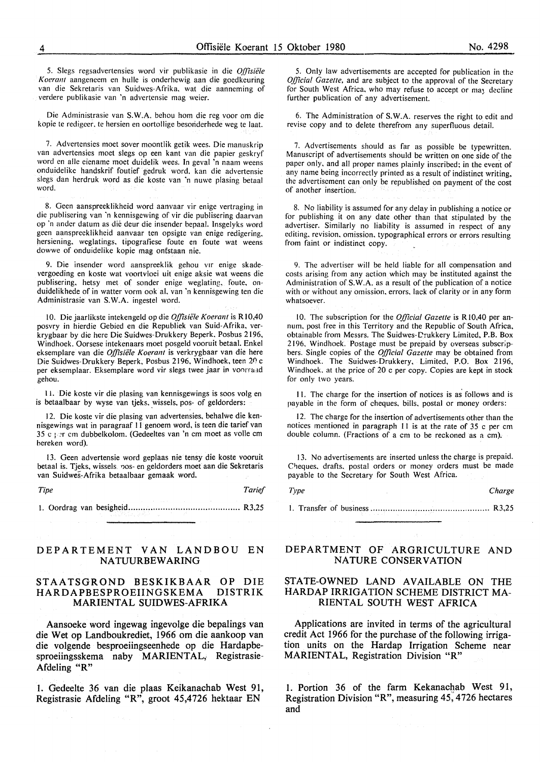5. Slegs regsadvertensies word vir publikasie in die *Offisiele Koerant* aangeneem en hulle is onderhewig aan die goedkeuring van die Sekretaris van Suidwes-Afrika, wat die aanneming of verdere publikasie van 'n advertensie mag weier.

Die Administrasie van **S.W.A.** behou horn die reg voor om die kopie te redigcer. te hersien en oortollige besoriderhede weg te laat.

7. Advertensies moet sover moontlik getik wees. Die manuskrip van advertensies moet slegs op een kant van die papier geskryf word en afle eiename moet duidelik wees. In geval 'n naam weens onduidelike handskrif foutief gedruk word. kan die advertensie slegs dan herdruk word as die koste van 'n nuwe plasing betaal word.

8. Geen aanspreeklikheid word aanvaar vir enige vertraging in die publisering van 'n kennisgewing of vir die publisering daarvan op 'n ander datum as die deur die insender bepaal. Insgelyks word geen aanspreeklikheid aanvaar ten opsigte van enige redigering. hersiening. weglatings, tipografiese foute en foute wat weens dowwe of onduidelike kopie mag onfstaan nie.

9. Die insender word aanspreeklik gehou vir enige skadevergoeding en koste wat voortvloei uit enige aksie wat weens die publisering, hetsy met of sonder enige weglating, foute, onduidelikhede of in watter vorm ook al. van 'n kennisgewing ten die Administrasie van S.W.A. ingestel word.

IO. Die jaarlikste intekengeld op die *Offisiele Koerant* is RI0,40 posvry in hierdie Gebied en die Republiek van Suid-Afrika, verkrygbaar by die here Die Suidwes-Drukkery Beperk, Posbus 2196, Windhoek. Oorsese intekenaars moet posgeld vooruit betaal. Enkel eksemplare van die *Offisiele Koerant* is verkrygbaar van die here Die Suidwes-Drukkery Beperk, Posbus 2196, Windhoek, teen 20 c per eksemplaar. Eksemplare word vir slegs twee jaar in voorraad gehou.

**11.** Die koste vir die plasing van kennisgewings is soos volg en is betaalbaar by wyse van tieks, wissels, pos- of geldorders:

12. Die koste vir die plasing van advertensies, behalwe die kennisgewings wat in paragraaf 11 genoem word, is teen die tarief van 35 c 1 :r cm dubbelkolom. (Gedeeltes van 'n cm moet as voile cm hcreken word).

13. Geen advertensie word geplaas nie tensy die koste vooruit betaal is. Tjeks, wissels. pos- en geldorders moet aan die Sekretaris van Suidwes-Afrika betaalbaar gemaak word.

*Tipe Tarief* 

l. Oordrag van besigheid .................•.....•..................... R3,25

#### **DEPARTEMENT VAN LANDBOU EN NATUURBEWARING**

#### **STAATSGROND BESKIKBAAR OP DIE HARDAPBESPROEIINGSKEMA MARIENTAL SUIDWES-AFRIKA**

**Aansoeke word ingewag ingevolge die bepalings van die Wet op Landboukrediet, 1966 om die aankoop van die volgende besproeiingseenhede op die Hardapbe**sproeiingsskema naby MARIENTAL, Registrasie-**Afdeling "R"** 

**1. Gedeelte 36 van die plaas Keikanachab West 91, Registrasie Afdeling "R", groot 45,4726 hektaar EN** 

5. Only law advertisements are accepted for publication in the *Official Gazelte,* and are subject to the approval of the Secretary for South West Africa, who may refuse to accept or may decline further publication of any advertisement.

6. The Administration of **S. W.A.** reserves the right to edit and revise copy and to delete therefrom any superfluous detail.

7. Advertisements should as far as possible be typewritten. Manuscript of advertisements should be written on one side of the paper only, and all proper names plainly inscribed; in the event of any name being incorrectly printed as a result of indistinct writing, the advertisement can only be republished on payment of the cost of another insertion.

8. No liability is assumed for any delay in publishing a notice or for publishing it on any date other than that stipulated by the advertiser. Similarly no liability is assumed in respect of any editing. revision. omission. typographical errors or errors resulting from faint or indistinct copy.

9. The advertiser will be held liable for all compensation and costs arising from any action which may be instituted against the Administration of **S. W.A.** as a result of the publication of a notice with or without any omission, errors. lack of clarity or in any form whatsoever.

10. The subscription for the *Official Gazette* is RI0,40 per annum. post free in this Territory and the Republic of South Africa, obtainable from Messrs. The Suidwes-C'rukkery Limited, P.B. Box 2196. Windhoek. Postage must be prepaid by overseas subscripbers. Single copies of the *Official Gazette* may be obtained from Windhoek. The Suidwes-Drukkery, Limited, P.O. Box 2196, Windhoek. at the price of 20 c per copy. Copies are kept in stock for only two years.

**11.** The charge for the insertion of notices is as follows and is payable in the form of cheques, bills, postal or money orders:

12. The charge for the insertion of advertisements other than the notices mentioned in paragraph 11 is at the rate of 35 c per cm double column. (Fractions of a cm to be reckoned as a cm).

13. No advertisements are inserted unless the charge is prepaid. Cheques. drafts. postal orders or money orders must be made payable to the Secretary for South West Africa.

*Type Charge* 

I. Transfer of business .. . .. •. . . . . . . . .. . . . . .. .. .. . . . . . . . . . . . . . . . . . . . . . . R3,25

#### **DEPARTMENT OF ARGRICULTURE AND NATURE CONSERVATION**

#### **STATE-OWNED LAND AVAILABLE ON THE HARDAP IRRIGATION SCHEME DISTRICT MA-RIENTAL SOUTH WEST AFRICA**

**Applications are invited in terms of the agricultural credit Act 1966 for the purchase of the following irrigation units on the Hardap Irrigation Scheme near MARIENT AL, Registration Division "R"** 

**1. Portion 36 of the farm Kekanachab West 91, Registration Division "R", measuring 45; 4726 hectares and**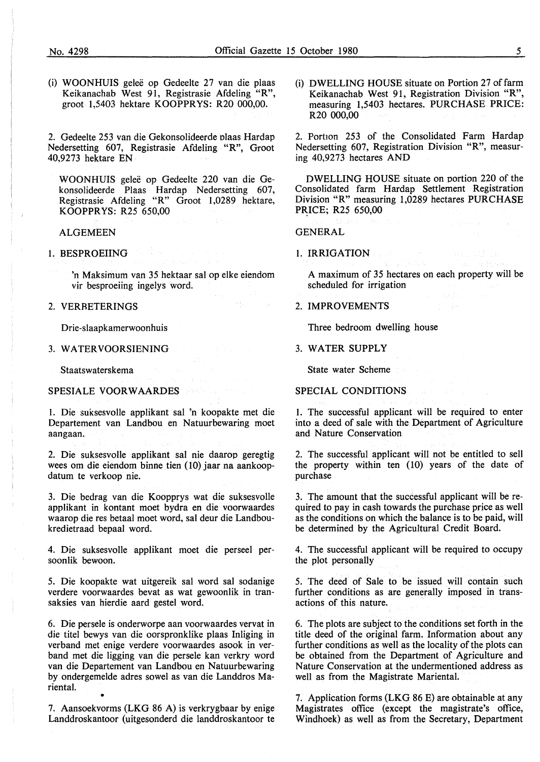(i) WOONHUIS gelee op Gedeelte 27 van die plaas Keikanachab West 91, Registrasie Afdeling "R", groot 1,5403 hektare KOOPPRYS: R20 000,00.

2. Gedeelte 253 van die Gekonsolideerde olaas Hardap Nedersetting 607, Registrasie Afdeling "R", Groot 40,9273 hektare EN

WOONHUIS geleë op Gedeelte 220 van die Gekonsolideerde Plaas Hardap Nedersetting 607, Registrasie Afdeling "R" Groot 1,0289 hektare, KOOPPRYS: R25 650,00

#### ALGEMEEN

1. BESPROEIING

'n Maksimum van 35 hektaar sal op elke eiendom vir besproeiing ingelys word.

#### 2. **VERRETERINGS**

Drie-slaapkamerwoonhuis

3. WATER VOORSIENING

Staatswaterskema

#### SPESIALE VOORWAARDES

I. Die suksesvolle applikant sal 'n koopakte met die Departement van Landbou en Natuurbewaring moet aangaan.

2. Die suksesvolle applikant sal nie daarop geregtig wees om die eiendom binne tien (10) jaar na aankoopdatum te verkoop nie.

3. Die bedrag van die Koopprys wat die suksesvolle applikant in kontant moet hydra en die voorwaardes waarop die res betaal moet word, sal deur die Landboukredietraad bepaal word.

4. Die suksesvolle applikant moet die perseel persoonlik bewoon.

5. Die koopakte wat uitgereik sal word sal sodanige verdere voorwaardes bevat as wat gewoonlik in transaksies van hierdie aard gestel word.

6. Die persele is onderworpe aan voorwaardes vervat in die titel bewys van die oorspronklike plaas Inliging in verband met enige verdere voorwaardes asook in verband met die Jigging van die persele kan verkry word van die Departement van Landbou en Natuurbewaring by ondergemelde adres sowel as van die Landdros Mariental. •

7. Aansoekvorms (LKG 86 A) is verkrygbaar by enige Landdroskantoor (uitgesonderd die landdroskantoor te (i) DWELLING HOUSE situate on Portion 27 of farm Keikanachab West 91, Registration Division "R", measuring 1,5403 hectares. PURCHASE PRICE: R20 000,00

2. Portion 253 of the Consolidated Farm Hardap Nedersetting 607, Registration Division "R", measuring 40,9273 hectares AND

DWELLING HOUSE situate on portion 220 of the Consolidated farm Hardap Settlement Registration Division "R" measuring 1,0289 hectares PURCHASE PRICE; R25 650,00

GENERAL

1. IRRIGATION

A maximum of 35 hectares on each property will be scheduled for irrigation

2. IMPROVEMENTS

Three bedroom dwelling house

#### 3. WATER SUPPLY

State water Scheme

#### SPECIAL CONDITIONS

1. The successful applicant will be required to enter into a deed of sale with the Department of Agriculture and Nature Conservation

2. The successful applicant will not be entitled to sell the property within ten (10) years of the date of purchase

3. The amount that the successful applicant will be required to pay in cash towards the purchase price as well as the conditions on which the balance is to be paid, will be determined by the Agricultural Credit Board.

4. The successful applicant will be required to occupy the plot personally

5. The deed of Sale to be issued will contain such further conditions as are generally imposed in transactions of this nature.

6. The plots are subject to the conditions set forth in the title deed of the original farm. Information about any further conditions as well as the locality of the plots can be obtained from the Department of Agriculture and Nature Conservation at the undermentioned address as well as from the Magistrate Mariental.

7. Application forms (LKG 86 E) are obtainable at any Magistrates office (except the magistrate's office, Windhoek) as well as from the Secretary, Department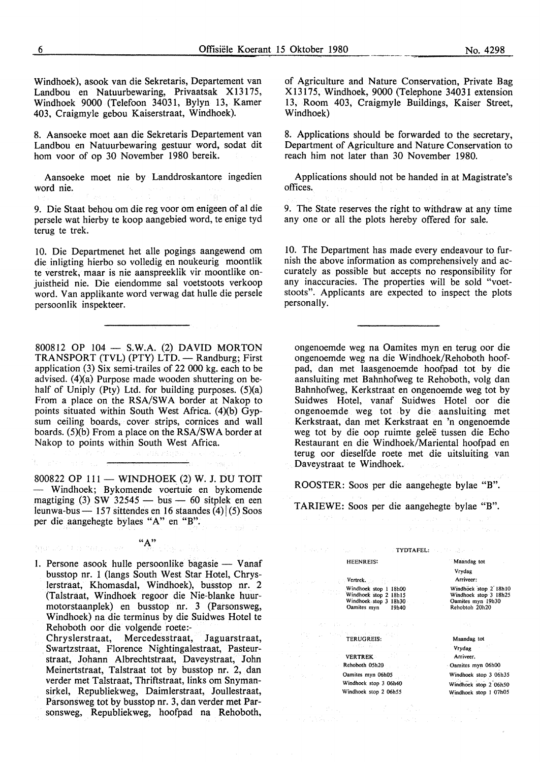Windhoek), asook van die Sekretaris, Departement van Landbou en Natuurbewaring, Privaatsak Xl3175, Windhoek 9000 (Telefoon 34031, Bylyn 13, Kamer 403, Craigmyle gebou Kaiserstraat, Windhoek).

8. Aansoeke moet aan die Sekretaris Departement van Landbou en Natuurbewaring gestuur word, sodat dit horn voor of op 30 November 1980 bereik.

Aansoeke moet nie by Landdroskantore ingedien word nie.

9. Die Staat behou om die reg voor om enigeen of al die persele wat hierby te koop aangebied word, te enige tyd terug te trek.

10. Die Departmenet het alle pogings aangewend om die inligting hierbo so volledig en noukeurig moontlik te verstrek, maar is nie aanspreeklik vir moontlike onjuistheid nie. Die eiendomme sal voetstoots verkoop word. Van applikante word verwag dat hulle die persele persoonlik inspekteer.

800812 OP 104 - S.W.A. (2) DAVID MORTON TRANSPORT (TVL) (PTY) LTD. - Randburg; First application (3) Six semi-trailes of 22 000 kg. each to be advised. (4)(a) Purpose made wooden shuttering on behalf of Uniply (Pty) Ltd. for building purposes. (5)(a) From a place on the RSA/SWA border at Nakop to points situated within South West Africa. (4)(b)  $Gyp$ sum ceiling boards, cover strips, cornices and wall boards. (5)(b) From a place on the **RSA/SW A** border at Nakop to points within South West Africa.

800822 OP 111 - WINDHOEK (2) W. J. DU TOIT - Windhoek; Bykomende voertuie en bykomende magtiging (3) SW  $32545 - bus - 60$  sitplek en een leunwa-bus — 157 sittendes en 16 staandes (4) $(5)$  Soos per die aangehegte bylaes "A" en "B".

**"A"** 

Manuel The Mary

1. Persone asook hulle persoonlike bagasie - Vanaf busstop nr. 1 (langs South West Star Hotel, Chryslerstraat, Khomasdal, Windhoek), busstop nr. 2 (Talstraat, Windhoek regoor die Nie-blanke huurmotorstaanplek) en busstop nr. 3 (Parsonsweg, Windhoek) na die terminus by die Suidwes Hotel te Rehoboth oor die volgende roete:-

Chryslerstraat, Mercedesstraat, Jaguarstraat, . Swartzstraat, Florence Nightingalestraat, Pasteurstraat, Johann Albrechtstraat, Daveystraat, John Meinertstraat, Talstraat tot by busstop nr. 2, dan verder met Talstraat, Thriftstraat, links om Snymansirkel, Republiekweg, Daimlerstraat, Joullestraat, Parsonsweg tot by busstop nr. 3, dan verder met Parsonsweg, Republiekweg, hoofpad na Rehoboth,

of Agriculture and Nature Conservation, Private Bag X 1317 5, Windhoek, 9000 (Telephone 34031 extension 13, Room 403, Craigmyle Buildings, Kaiser Street, Windhoek)

8. Applications should be forwarded to the secretary, Department of Agriculture and Nature Conservation to reach him not later than 30 November 1980.

Applications should not be handed in at Magistrate's offices.

9. The State reserves the right to withdraw at any time any one or all the plots hereby offered for sale.

10. The Department has made every endeavour to furnish the above information as comprehensively and accurately as possible but accepts no responsibility for any inaccuracies. The properties will be sold "voetstoots". Applicants are expected to inspect the plots personally.

ongenoemde weg na Oamites myn en terug oor die ongenoemde weg na die Windhoek/Rehoboth hoofpad, dan met laasgenoemde hoofpad tot by die aansluiting met Bahnhofweg te Rehoboth, volg dan Bahnhofweg, Kerkstraat en ongenoemde weg tot by Suidwes Hotel, vanaf Suidwes Hotel oor die ongenoemde weg tot by die aansluiting met Kerkstraat, dan met Kerkstraat en 'n ongenoemde weg tot by die oop ruimte gelee tussen die Echo Restaurant en die Windhoek/Mariental hoofpad en terug oor dieselfde roete met die uitsluiting van Daveystraat te Windhoek.

ROOSTER: Soos per die aangehegte bylae "B".

TARIEWE: Soos per die aangehegte bylae "B".

|                                                                                                                                                                   | あかさ ほうしょういん いねんこ                                                                      |
|-------------------------------------------------------------------------------------------------------------------------------------------------------------------|---------------------------------------------------------------------------------------|
| $\frac{1}{2}$ and $\frac{1}{2}$ are solved in the $\frac{1}{2}$ such that $\frac{1}{2}$ . The $\frac{1}{2}$ are $\frac{1}{2}$ and $\frac{1}{2}$ are $\frac{1}{2}$ |                                                                                       |
| <b>HEENREIS:</b>                                                                                                                                                  | Maandag tot<br>Vrydag                                                                 |
| <u> 1989 - John Sterftek, syntysk polit</u> ik                                                                                                                    | Arriveer:                                                                             |
| Windhoek stop 1 18h00<br>Windhoek stop 2 18h15<br>Windhoek stop 3 18h30<br>Oamites myn 19h40                                                                      | Windhock stop 2 18h10<br>Windhoek stop 3 18h25<br>Oamites myn 19h30<br>Rehobtoh 20h20 |
| スページにつれ、 オーデナ ほうごデータ                                                                                                                                              |                                                                                       |
| <b>TERUGREIS:</b><br>t.                                                                                                                                           | Maandag tot                                                                           |
| コード・コール おいなんい インドナイ                                                                                                                                               | Vrydag <b>Mark</b>                                                                    |
| <b>Example 18 YERTREK</b>                                                                                                                                         | Arriveer.                                                                             |
| <b>Example 20 Rehoboth 05h20</b>                                                                                                                                  | Oamites myn 06h00                                                                     |
| Oamites myn 06h05<br>$\mathcal{U}_2 \in \mathcal{V} \times \mathcal{V}_2$ .                                                                                       | Windhoek stop 3 06h35                                                                 |
| Windhoek stop 3 06h40<br>Windhoek stop 2 06h55                                                                                                                    | Windhoek stop 2 06h50<br>Windhoek stop 1 07h05                                        |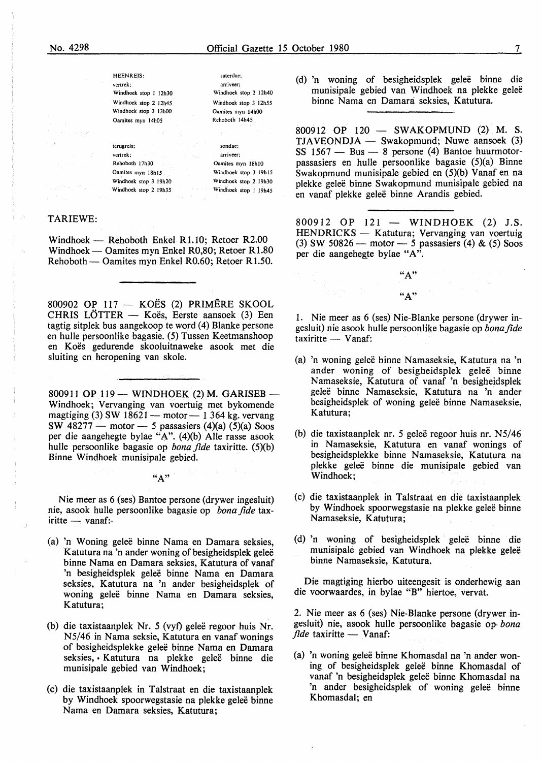saterdae; arriveer; Windhoek stop 2 I 2h40 Windhoek stop 3 12h55 Oamites myn 14h00 Rehoboth 14h45

sondae: arriveer; Oamites myn 18h10 Windhoek stop 3 19h15 Windhoek stop 2 19h30 Windhoek stop I 19h45

HEENREIS: vertrek: Windhoek stop 1 12h30 Windhoek stop 2 12h45 Windhoek stop 3 13h00 Oamites myn 14h05

terugrcis; vertrek: Rehoboth 17h30 Oamites myn 18h15 Windhoek stop 3 19h20 Windhoek stop 2 19h35

#### TARIEWE:

Windhoek - Rehoboth Enkel R1.10; Retoer R2.00 Windhoek — Oamites myn Enkel R0,80; Retoer R1.80 Rehoboth — Oamites myn Enkel R0.60; Retoer R1.50.

800902 OP  $117 - KOES$  (2) PRIMÊRE SKOOL CHRIS LÖTTER - Koës, Eerste aansoek (3) Een tagtig sitplek bus aangekoop te word (4) Blanke persone en hulle persoonlike bagasie. (5) Tussen Keetmanshoop en Koës gedurende skooluitnaweke asook met die sluiting en heropening van skole.

800911 OP 119 - WINDHOEK (2) M. GARISEB -Windhoek; Vervanging van voertuig met bykomende magtiging (3) SW  $18621$  - motor - 1 364 kg. vervang SW  $48277$  - motor - 5 passasiers  $(4)(a)$   $(5)(a)$  Soos per die aangehegte bylae "A".  $(4)(b)$  Alle rasse asook hulle persoonlike bagasie op *bona fide* taxiritte. (5)(b) Binne Windhoek munisipale gebied.

#### $"A"$

Nie meer as 6 (ses) Bantoe persone (drywer ingesluit) nie, asook hulle persoonlike bagasie op *bona fide* tax $iritte - vanaf$ :-

- (a) 'n Woning gelee binne Nama en Damara seksies, Katutura na 'n ander woning of besigheidsplek geleë binne Nama en Damara seksies, Katutura of vanaf 'n besigheidsplek geleë binne Nama en Damara seksies, Katutura na 'n ander besigheidsplek of woning geleë binne Nama en Damara seksies, Katutura;
- (b) die taxistaanplek Nr. 5 (vyf) geleë regoor huis Nr. N5/46 in Nama seksie, Katutura en vanaf wonings of besigheidsplekke gelee binne Nama en Damara seksies, • Katutura na plekke geleë binne die munisipale gebied van Windhoek;
- (c) die taxistaanplek in Talstraat en die taxistaanplek by Windhoek spoorwegstasie na plekke geleë binne Nama en Damara seksies, Katutura;

(d) 'n woning of besigheidsplek gelee binne die munisipale gebied van Windhoek na plekke geleë binne Nama en Damara seksies, Katutura.

800912 OP 120 - SWAKOPMUND (2) M.S.  $TJAVEONDJA - Swakopmund; Nuwe aansoek (3)$  $SS$  1567 - Bus - 8 persone (4) Bantoe huurmotorpassasiers en hulle persoonlike bagasie (5)(a) Binne Swakopmund munisipale gebied en (5)(b) Vanaf en na plekke gelee binne Swakopmund munisipale gebied na en vanaf plekke gelee binne Arandis gebied.

800912 OP 121 - WINDHOEK (2) J.S. HENDRICKS - Katutura; Vervanging van voertuig (3) SW 50826- motor- *5* passasiers (4) & (5) Soos per die aangehegte bylae "A".

> "A"  $"A"$

1. Nie meer as 6 (ses) Nie-Blanke persone (drywer ingesluit) nie asook hulle persoonlike bagasie op *bonafide*   $taxiritte$   $\longrightarrow$  Vanaf:

- (a) 'n woning gelee binne Namaseksie, Katutura na 'n ander woning of besigheidsplek geleë binne Namaseksie, Katutura of vanaf 'n besigheidsplek gelee binne Namaseksie, Katutura na 'n ander besigheidsplek of woning geleë binne Namaseksie, Katutura;
- (b) die taxistaanplek nr. *5* gelee regoor huis nr. N5/46 in Namaseksie, Katutura en vanaf wonings of besigheidsplekke binne Namaseksie, Katutura na plekke gelee binne die munisipale gebied van Windhoek;
- (c) die taxistaanplek in Talstraat en die taxistaanplek by Windhoek spoorwegstasie na plekke geleë binne Namaseksie, Katutura;
- (d) 'n woning of besigheidsplek gelee binne die munisipale gebied van Windhoek na plekke geleë binne Namaseksie, Katutura.

Die magtiging hierbo uiteengesit is onderhewig aan die voorwaardes, in bylae "B" hiertoe, vervat.

2. Nie meer as 6 (ses) Nie-Blanke persone (drywer ingesluit) nie, asook hulle persoonlike bagasie op, *bona fide* taxiritte — Vanaf:

(a) 'n woning gelee binne Khomasdal na 'n ander woning of besigheidsplek gelee binne Khomasdal of vanaf 'n besigheidsplek geleë binne Khomasdal na 'n ander besigheidsplek of woning geleë binne Khomasdal; en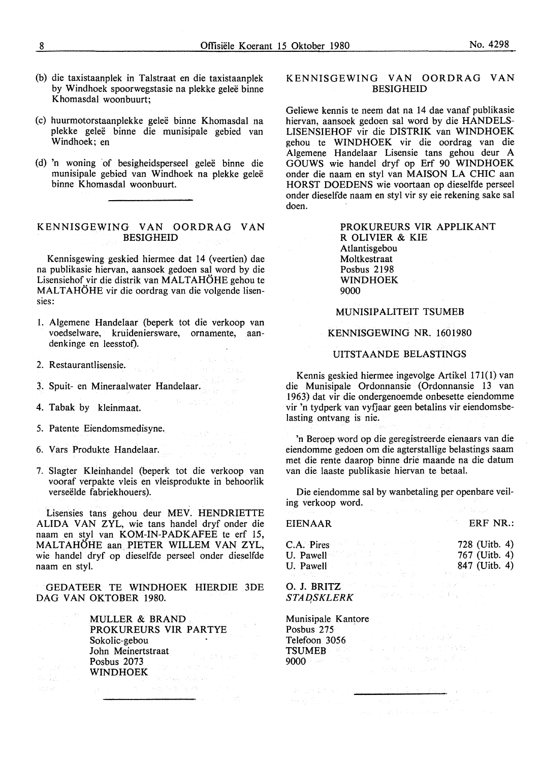- (b) die taxistaanplek in Talstraat en die taxistaanplek by Windhoek spoorwegstasie na plekke geleë binne Khomasdal woonbuurt;
- (c) huurmotorstaanplekke gelee binne Khomasdal na plekke gelee binne die munisipale gebied van Windhoek; en
- (d) 'n woning of besigheidsperseel geleë binne die munisipale gebied van Windhoek na plekke gelee binne Khomasdal woonbuurt.

#### KENNISGEWING VAN OORDRAG VAN BESIGHEID

Kennisgewing geskied hiermee dat 14 (veertien) dae na publikasie hiervan, aansoek gedoen sal word by die Lisensiehof vir die distrik van MALTAHÖHE gehou te MALTAHÖHE vir die oordrag van die volgende lisensies:

1. Algemene Handelaar (beperk tot die verkoop van voedselware, kruideniersware, ornamente, aandenkinge en leesstof).

 $\label{eq:3.1} \begin{split} \mathcal{O}(\frac{1}{2}\log\left(\frac{1}{2}\right) - \frac{1}{2} \log\left(\frac{1}{2}\right) + \frac{1}{2} \log\left(\frac{1}{2}\log\left(\frac{1}{2}\right)\right) \\ \mathcal{O}(\frac{1}{2}\log\left(\frac{1}{2}\log\left(\frac{1}{2}\right) - \frac{1}{2}\log\left(\frac{1}{2}\right)\right) + \frac{1}{2} \log\left(\frac{1}{2}\log\left(\frac{1}{2}\right)\right) \\ \mathcal{O}(\frac{1}{2}\log\left(\frac{1}{2}\log\left(\frac{1}{2}\right)$ 

 $\Phi=\lambda M/\lambda \, \ln \lambda$  and

 $\omega_{\rm eff} \sim \omega_{\rm c}$ 

- 2. Restaurantlisensie.
- 3. Spuit- en Mineraalwater Handelaar.
- 4. Tabak by kleinmaat.
- 5. Patente Eiendomsmedisyne.
- 6. Vars Produkte Handelaar.
- 7. Slagter Kleinhandel (beperk tot die verkoop van vooraf verpakte vleis en vleisprodukte in behoorlik verseëlde fabriekhouers).

Lisensies tans gehou deur MEV. HENDRIETTE ALIDA VAN ZYL, wie tans handel dryf onder die naam en styl van KOM-IN-PADKAFEE te erf 15, MALTAHÖHE aan PIETER WILLEM VAN ZYL, wie handel dryf op dieselfde perseel onder dieselfde naam en styl.

GEDATEER TE WINDHOEK HIERDIE 3DE DAG VAN OKTOBER 1980.

> MULLER & BRAND PROKUREURS VIR PARTYE Sokolic-gebou John Meinertstraat Posbus 2073 WINDHOEK

#### KENNISGEWING VAN OORDRAG VAN BESIGHEID

Geliewe kennis te neem dat na 14 dae vanaf publikasie hiervan, aansoek gedoen sal word by die HANDELS-LISENSIEHOF vir die DISTRIK van WINDHOEK gehou te WINDHOEK vir die oordrag van die Algemene Handelaar Lisensie tans gehou deur A GOUWS wie handel dryf op Erf 90 WINDHOEK onder die naam en styl van **MAISON** LA CHIC aan HORST DOEDENS wie voortaan op dieselfde perseel onder dieselfde naam en sty! vir sy eie rekening sake sal doen.

> PROKUREURS VIR APPLIKANT R OLIVIER & KIE Atlantisgebou Moltkestraat Posbus 2198 WINDHOEK 9000

#### MUNISIPALITEIT TSUMEB

#### KENNISGEWING NR. 1601980

#### UITSTAANDE BELASTINGS

Kennis geskied hiermee ingevolge Artikel 171(1) van die Munisipale Ordonnansie (Ordonnansie 13 van 1963) dat vir die ondergenoemde onbesette eiendomme vir 'n tydperk van vyfjaar geen betalins vir eiendomsbelasting ontvang is nie.

'n Beroep word op die geregistreerde eienaars van die eiendomme gedoen om die agterstallige belastings saam met die rente daarop binne drie maande na die datum van die laaste publikasie hiervan te betaal.

Die eiendomme sal by wanbetaling per openbare veiling verkoop word.

#### **EIENAAR**

ERF NR.:

| C.A. Pires                                           | 728 (Uitb. 4) |
|------------------------------------------------------|---------------|
| U. Pawell and the U.S.                               | 767 (Uitb. 4) |
| e de la constitución de la constitución<br>U. Pawell | 847 (Uitb. 4) |
|                                                      |               |

0. J. BRITZ *STAD,SKLERK* 

#### Munisipale Kantore

| Posbus 275                                                      |  |  |  |  | 그 사람들은 아이에 대한 사람들을 만들어 보고 있었다.                                            |  |
|-----------------------------------------------------------------|--|--|--|--|---------------------------------------------------------------------------|--|
| Telefoon 3056                                                   |  |  |  |  | こうかい いちかい あいしょう かいしょう                                                     |  |
| TSUMEB and the contract in the transformation of $\mathbb{R}^n$ |  |  |  |  |                                                                           |  |
| 9000 de la 1990 de 1800 de la 1990 de 1800 de                   |  |  |  |  |                                                                           |  |
|                                                                 |  |  |  |  | contractors and the contractors of the contractors and the contractors of |  |

 $\sim$   $\alpha$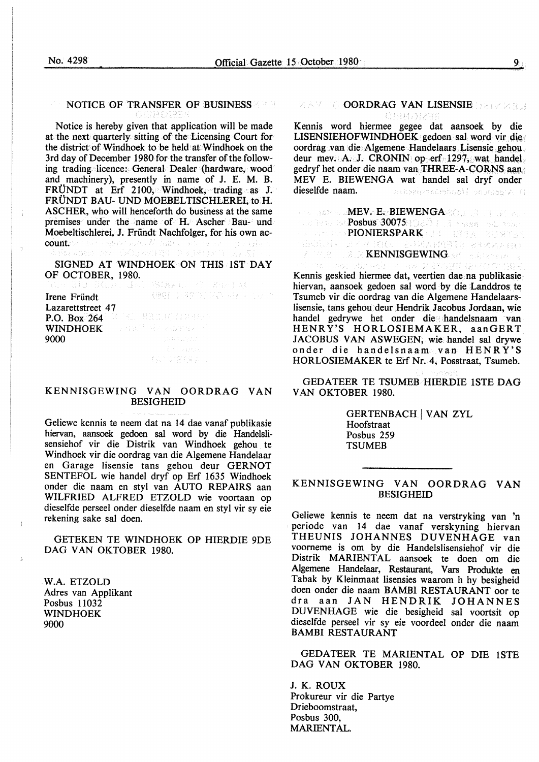#### NOTICE OF TRANSFER OF BUSINESS

Notice is hereby given that application will be made at the next quarterly sitting of the Licensing Court for the district of Windhoek to be held at Windhoek on the 3rd day of December 1980 for the transfer of the following trading licence: General Dealer (hardware, wood and machinery), presently in name of J. E. M. B. FRUNDT at Erf 2100, Windhoek, trading as J. FRUNDT BAU- UND MOEBELTISCHLEREI, to H. ASCHER, who will henceforth do business at the same premises under the name of H. Ascher Bau- und Moebeltischlerei, J. Fründt Nachfolger, for his own account. So a sale composition of nigir Waset.

SIGNED AT WINDHOEK ON THIS 1ST DAY OF OCTOBER, 1980.

| Irene Fründt      | - 452 플로그 220 시간 포함 모르고 보고                                                                                                                                                                                                           |
|-------------------|--------------------------------------------------------------------------------------------------------------------------------------------------------------------------------------------------------------------------------------|
| Lazarettstreet 47 |                                                                                                                                                                                                                                      |
|                   | <b>P.O. Box 264 Market Manuford Material</b>                                                                                                                                                                                         |
|                   | WINDHOEK <b>Conservation of the conduct of the Second Second Second Second Second Second Second Second Second Second Second Second Second Second Second Second Second Second Second Second Second Second Second Second Second Se</b> |
| 9000              | Case State Corp.                                                                                                                                                                                                                     |
|                   | s é regene.                                                                                                                                                                                                                          |
|                   | 그 회사 전쟁 6월 보니                                                                                                                                                                                                                        |

#### **KENNISGEWING VAN OORDRAG VAN**  BESIGHEID

Geliewe kennis te neem dat na 14 dae vanaf publikasie hiervan, aansoek gedoen sal word by die Handelslisensiehof vir die Distrik van Windhoek gehou te Windhoek vir die oordrag van die Algemene Handelaar en Garage lisensie tans gehou deur GERNOT SENTEFOL wie handel dryf op Erf 1635 Windhoek onder die naam en styl van AUTO REPAIRS aan WILFRIED ALFRED ETZOLD wie voortaan op dieselfde perseel onder dieselfde naam en styl vir sy eie rekening sake sal doen.

GETEKEN TE WINDHOEK OP HIERDIE 9DE DAG VAN OKTOBER 1980.

W.A. ETZOLD Adres van Applikant Posbus 11032 WINDHOEK 9000

# **EAT GOORDRAG VAN LISENSIE** DELKEER

Kennis word hiermee gegee dat aansoek by die LISENSIEHOFWINDHOEK gedoen sal word vir die oordrag van. die. Algemene Handelaars Lisensie gehou deur mev. A. J. CRONIN op erf 1297, wat handel gedryf het onder die naam van THREE-A-CORNS aan MEY E. BIEWENGA wat handel sal dryf onder dieselfde naam. unteknomunbusi velement

MEY. E. BIEWENGA (O. 1981) (1981) Posbus 3007 *5*  PIONIERSPARK I JOHN STREIN<br>PIONIE – A 4 2000 - A 14 4 89 312 - 23 34 4 5 6 6 DE ZEN BREAKT STAAT EN

Kennis geskied hiermee dat, veertien dae na publikasie hiervan, aansoek gedoen sal word by die Landdros te Tsumeb vir die oordrag van die Algemene Handelaarslisensie, tans gehou deur Hendrik Jacobus Jordaan, wie handel gedrywe bet onder die handelsnaam van HENRY'S HORLOSIEMAKER, aanGERT JACOBUS VAN ASWEGEN, wie handel sal drywe onder die handelsnaam van HENRY'S HORLOSIEMAKER te Eif Nr. 4, Posstraat, Tsumeb.

GEDATEER TE TSUMEB HIERDIE lSTE DAG VAN OKTOBER 1980.

> GERTENBACH | VAN ZYL Hoofstraat Posbus 259 **TSUMEB**

#### KENNISGEWING VAN OORDRAG VAN BESIGHEID

Geliewe kennis te neem dat na verstryking van 'n periode van 14 dae vanaf verskyning hiervan THEUNIS JOHANNES DUVENHAGE van voorneme is om by die Handelslisensiehof vir die Distrik MARIENTAL aansoek te doen om die Algemene Handelaar, Restaurant, Vars Produkte en Tabak by Kleinmaat lisensies waarom h hy besigheid doen onder die naam BAMBI RESTAURANT oor te dra aan JAN HENDRIK JOHANNES DUVENHAGE wie die besigheid sal voortsit op dieselfde perseel vir sy eie voordeel onder die naam BAMBI RESTAURANT

GEDATEER TE MARIENTAL OP DIE lSTE DAG VAN OKTOBER 1980.

J. K. ROUX Prokureur vir die Partye Drieboomstraat, Posbus 300, MARIENTAL.